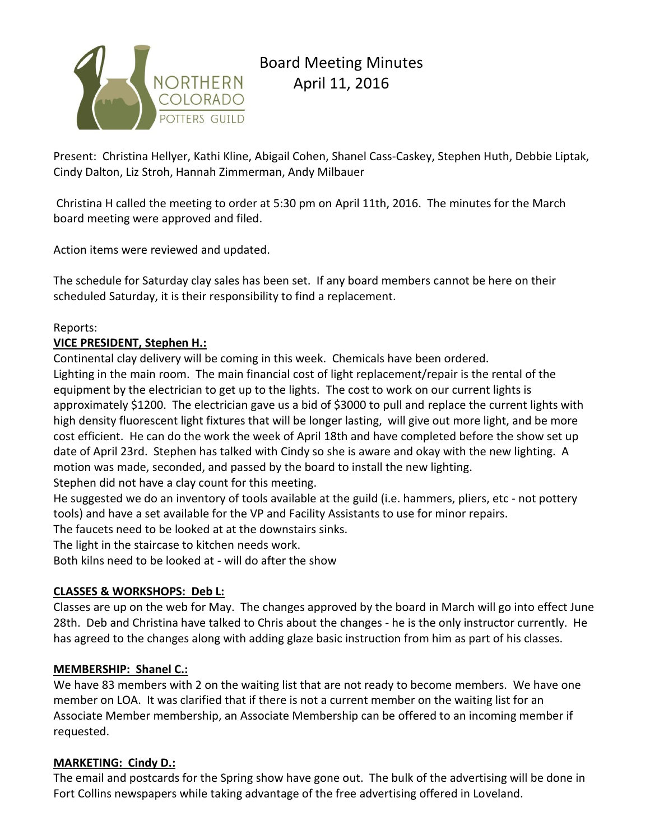

Present: Christina Hellyer, Kathi Kline, Abigail Cohen, Shanel Cass-Caskey, Stephen Huth, Debbie Liptak, Cindy Dalton, Liz Stroh, Hannah Zimmerman, Andy Milbauer

Christina H called the meeting to order at 5:30 pm on April 11th, 2016. The minutes for the March board meeting were approved and filed.

Action items were reviewed and updated.

The schedule for Saturday clay sales has been set. If any board members cannot be here on their scheduled Saturday, it is their responsibility to find a replacement.

#### Reports:

#### **VICE PRESIDENT, Stephen H.:**

Continental clay delivery will be coming in this week. Chemicals have been ordered. Lighting in the main room. The main financial cost of light replacement/repair is the rental of the equipment by the electrician to get up to the lights. The cost to work on our current lights is approximately \$1200. The electrician gave us a bid of \$3000 to pull and replace the current lights with high density fluorescent light fixtures that will be longer lasting, will give out more light, and be more cost efficient. He can do the work the week of April 18th and have completed before the show set up date of April 23rd. Stephen has talked with Cindy so she is aware and okay with the new lighting. A motion was made, seconded, and passed by the board to install the new lighting. Stephen did not have a clay count for this meeting.

He suggested we do an inventory of tools available at the guild (i.e. hammers, pliers, etc - not pottery tools) and have a set available for the VP and Facility Assistants to use for minor repairs.

The faucets need to be looked at at the downstairs sinks.

The light in the staircase to kitchen needs work.

Both kilns need to be looked at - will do after the show

## **CLASSES & WORKSHOPS: Deb L:**

Classes are up on the web for May. The changes approved by the board in March will go into effect June 28th. Deb and Christina have talked to Chris about the changes - he is the only instructor currently. He has agreed to the changes along with adding glaze basic instruction from him as part of his classes.

## **MEMBERSHIP: Shanel C.:**

We have 83 members with 2 on the waiting list that are not ready to become members. We have one member on LOA. It was clarified that if there is not a current member on the waiting list for an Associate Member membership, an Associate Membership can be offered to an incoming member if requested.

## **MARKETING: Cindy D.:**

The email and postcards for the Spring show have gone out. The bulk of the advertising will be done in Fort Collins newspapers while taking advantage of the free advertising offered in Loveland.